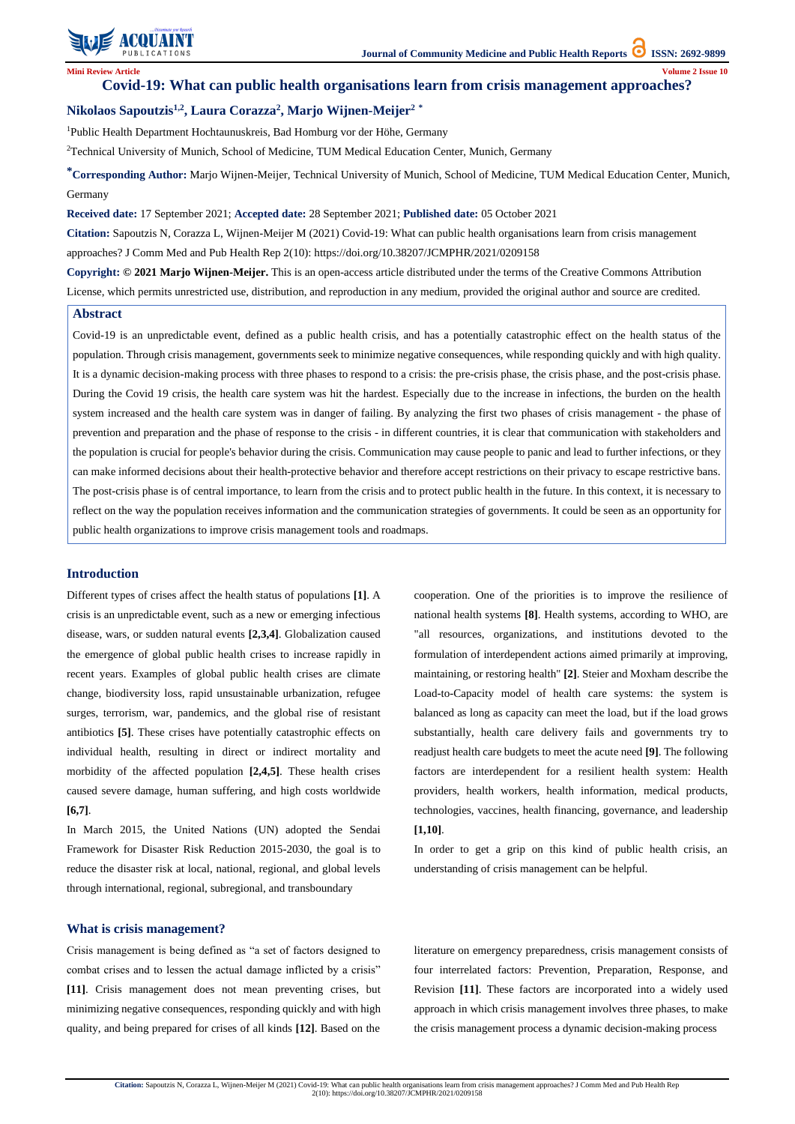

**Citation:** Sapoutzis N, Corazza L, Wijnen-Meijer M (2021) Covid-19: What can public health organisations learn from crisis management approaches? J Comm Med and Pub Health Rep 2(10): https://doi.org/10.38207/JCMPHR/2021/0209158

**Mini Review Article Volume 2 Issue 10**

# **Covid-19: What can public health organisations learn from crisis management approaches?**

## **Nikolaos Sapoutzis1,2, Laura Corazza<sup>2</sup> , Marjo Wijnen-Meijer<sup>2</sup> \***

<sup>1</sup>Public Health Department Hochtaunuskreis, Bad Homburg vor der Höhe, Germany

<sup>2</sup>Technical University of Munich, School of Medicine, TUM Medical Education Center, Munich, Germany

**\*Corresponding Author:** Marjo Wijnen-Meijer, Technical University of Munich, School of Medicine, TUM Medical Education Center, Munich, Germany

**Received date:** 17 September 2021; **Accepted date:** 28 September 2021; **Published date:** 05 October 2021

**Citation:** Sapoutzis N, Corazza L, Wijnen-Meijer M (2021) Covid-19: What can public health organisations learn from crisis management

approaches? J Comm Med and Pub Health Rep 2(10): https://doi.org/10.38207/JCMPHR/2021/0209158

**Copyright: © 2021 Marjo Wijnen-Meijer.** This is an open-access article distributed under the terms of the Creative Commons Attribution License, which permits unrestricted use, distribution, and reproduction in any medium, provided the original author and source are credited.

### **Introduction**

Different types of crises affect the health status of populations **[1]**. A crisis is an unpredictable event, such as a new or emerging infectious disease, wars, or sudden natural events **[2,3,4]**. Globalization caused the emergence of global public health crises to increase rapidly in recent years. Examples of global public health crises are climate change, biodiversity loss, rapid unsustainable urbanization, refugee surges, terrorism, war, pandemics, and the global rise of resistant antibiotics **[5]**. These crises have potentially catastrophic effects on individual health, resulting in direct or indirect mortality and morbidity of the affected population **[2,4,5]**. These health crises caused severe damage, human suffering, and high costs worldwide **[6,7]**.

In March 2015, the United Nations (UN) adopted the Sendai Framework for Disaster Risk Reduction 2015-2030, the goal is to

reduce the disaster risk at local, national, regional, and global levels through international, regional, subregional, and transboundary

cooperation. One of the priorities is to improve the resilience of national health systems **[8]**. Health systems, according to WHO, are "all resources, organizations, and institutions devoted to the formulation of interdependent actions aimed primarily at improving, maintaining, or restoring health" **[2]**. Steier and Moxham describe the Load-to-Capacity model of health care systems: the system is balanced as long as capacity can meet the load, but if the load grows substantially, health care delivery fails and governments try to readjust health care budgets to meet the acute need **[9]**. The following factors are interdependent for a resilient health system: Health providers, health workers, health information, medical products, technologies, vaccines, health financing, governance, and leadership **[1,10]**.

In order to get a grip on this kind of public health crisis, an understanding of crisis management can be helpful.

### **What is crisis management?**

Crisis management is being defined as "a set of factors designed to combat crises and to lessen the actual damage inflicted by a crisis" **[11]**. Crisis management does not mean preventing crises, but minimizing negative consequences, responding quickly and with high quality, and being prepared for crises of all kinds **[12]**. Based on the

literature on emergency preparedness, crisis management consists of four interrelated factors: Prevention, Preparation, Response, and Revision **[11]**. These factors are incorporated into a widely used approach in which crisis management involves three phases, to make the crisis management process a dynamic decision-making process

### **Abstract**

Covid-19 is an unpredictable event, defined as a public health crisis, and has a potentially catastrophic effect on the health status of the population. Through crisis management, governments seek to minimize negative consequences, while responding quickly and with high quality. It is a dynamic decision-making process with three phases to respond to a crisis: the pre-crisis phase, the crisis phase, and the post-crisis phase. During the Covid 19 crisis, the health care system was hit the hardest. Especially due to the increase in infections, the burden on the health system increased and the health care system was in danger of failing. By analyzing the first two phases of crisis management - the phase of prevention and preparation and the phase of response to the crisis - in different countries, it is clear that communication with stakeholders and the population is crucial for people's behavior during the crisis. Communication may cause people to panic and lead to further infections, or they can make informed decisions about their health-protective behavior and therefore accept restrictions on their privacy to escape restrictive bans. The post-crisis phase is of central importance, to learn from the crisis and to protect public health in the future. In this context, it is necessary to reflect on the way the population receives information and the communication strategies of governments. It could be seen as an opportunity for public health organizations to improve crisis management tools and roadmaps.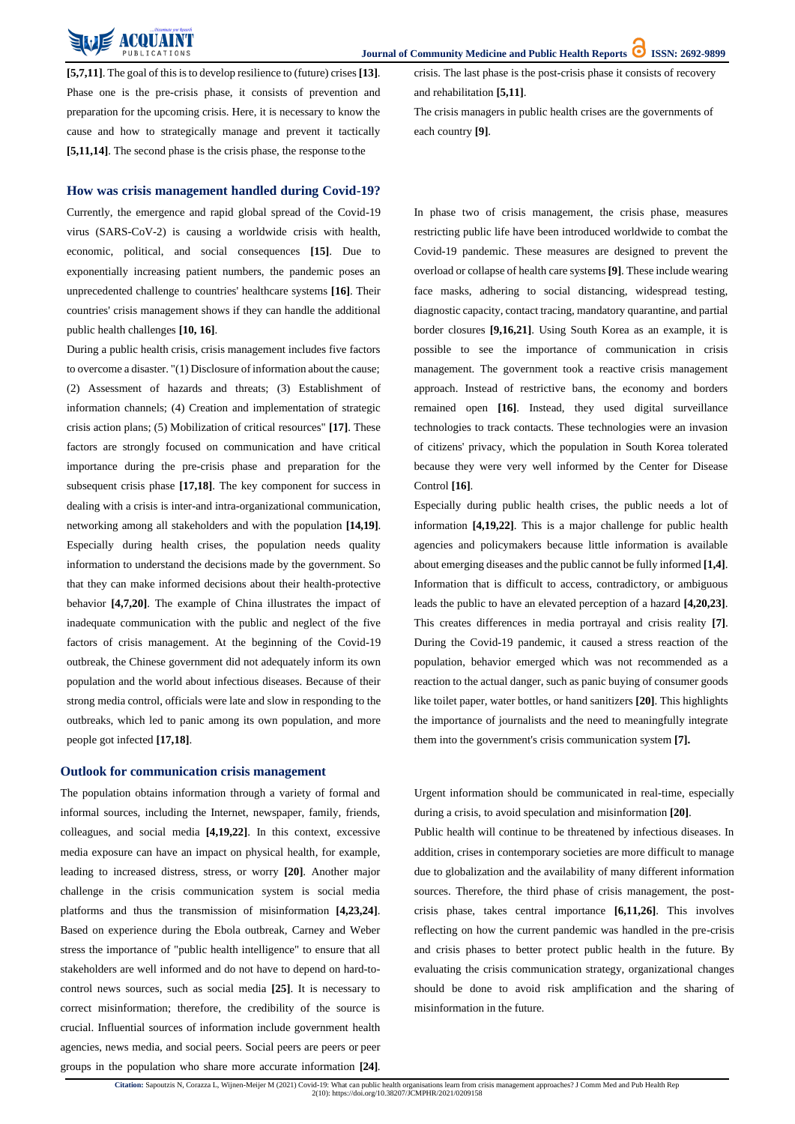**Citation:** Sapoutzis N, Corazza L, Wijnen-Meijer M (2021) Covid-19: What can public health organisations learn from crisis management approaches? J Comm Med and Pub Health Rep 2(10): https://doi.org/10.38207/JCMPHR/2021/0209158

**[5,7,11]**. The goal of this is to develop resilience to (future) crises [13]. Phase one is the pre-crisis phase, it consists of prevention and preparation for the upcoming crisis. Here, it is necessary to know the cause and how to strategically manage and prevent it tactically **[5,11,14]**. The second phase is the crisis phase, the response to the

crisis. The last phase is the post-crisis phase it consists of recovery and rehabilitation **[5,11]**.

The crisis managers in public health crises are the governments of each country **[9]**.

### **How was crisis management handled during Covid-19?**

Currently, the emergence and rapid global spread of the Covid-19 virus (SARS-CoV-2) is causing a worldwide crisis with health, economic, political, and social consequences **[15]**. Due to exponentially increasing patient numbers, the pandemic poses an unprecedented challenge to countries' healthcare systems **[16]**. Their countries' crisis management shows if they can handle the additional public health challenges **[10, 16]**.

During a public health crisis, crisis management includes five factors to overcome a disaster. "(1) Disclosure of information about the cause; (2) Assessment of hazards and threats; (3) Establishment of information channels; (4) Creation and implementation of strategic crisis action plans; (5) Mobilization of critical resources" **[17]**. These factors are strongly focused on communication and have critical importance during the pre-crisis phase and preparation for the subsequent crisis phase **[17,18]**. The key component for success in dealing with a crisis is inter-and intra-organizational communication, networking among all stakeholders and with the population **[14,19]**. Especially during health crises, the population needs quality information to understand the decisions made by the government. So that they can make informed decisions about their health-protective behavior **[4,7,20]**. The example of China illustrates the impact of inadequate communication with the public and neglect of the five factors of crisis management. At the beginning of the Covid-19 outbreak, the Chinese government did not adequately inform its own population and the world about infectious diseases. Because of their strong media control, officials were late and slow in responding to the outbreaks, which led to panic among its own population, and more people got infected **[17,18]**.

In phase two of crisis management, the crisis phase, measures restricting public life have been introduced worldwide to combat the Covid-19 pandemic. These measures are designed to prevent the overload or collapse of health care systems **[9]**. These include wearing face masks, adhering to social distancing, widespread testing, diagnostic capacity, contact tracing, mandatory quarantine, and partial border closures **[9,16,21]**. Using South Korea as an example, it is possible to see the importance of communication in crisis management. The government took a reactive crisis management approach. Instead of restrictive bans, the economy and borders remained open **[16]**. Instead, they used digital surveillance technologies to track contacts. These technologies were an invasion of citizens' privacy, which the population in South Korea tolerated because they were very well informed by the Center for Disease Control **[16]**.

Especially during public health crises, the public needs a lot of information **[4,19,22]**. This is a major challenge for public health agencies and policymakers because little information is available about emerging diseases and the public cannot be fully informed **[1,4]**. Information that is difficult to access, contradictory, or ambiguous leads the public to have an elevated perception of a hazard **[4,20,23]**. This creates differences in media portrayal and crisis reality **[7]**. During the Covid-19 pandemic, it caused a stress reaction of the population, behavior emerged which was not recommended as a reaction to the actual danger, such as panic buying of consumer goods like toilet paper, water bottles, or hand sanitizers **[20]**. This highlights the importance of journalists and the need to meaningfully integrate them into the government's crisis communication system **[7].**

### **Outlook for communication crisis management**

The population obtains information through a variety of formal and informal sources, including the Internet, newspaper, family, friends, colleagues, and social media **[4,19,22]**. In this context, excessive media exposure can have an impact on physical health, for example, leading to increased distress, stress, or worry **[20]**. Another major challenge in the crisis communication system is social media platforms and thus the transmission of misinformation **[4,23,24]**. Based on experience during the Ebola outbreak, Carney and Weber stress the importance of "public health intelligence" to ensure that all stakeholders are well informed and do not have to depend on hard-tocontrol news sources, such as social media **[25]**. It is necessary to correct misinformation; therefore, the credibility of the source is crucial. Influential sources of information include government health agencies, news media, and social peers. Social peers are peers or peer groups in the population who share more accurate information **[24]**. Urgent information should be communicated in real-time, especially during a crisis, to avoid speculation and misinformation **[20]**. Public health will continue to be threatened by infectious diseases. In addition, crises in contemporary societies are more difficult to manage due to globalization and the availability of many different information sources. Therefore, the third phase of crisis management, the postcrisis phase, takes central importance **[6,11,26]**. This involves reflecting on how the current pandemic was handled in the pre-crisis and crisis phases to better protect public health in the future. By evaluating the crisis communication strategy, organizational changes should be done to avoid risk amplification and the sharing of misinformation in the future.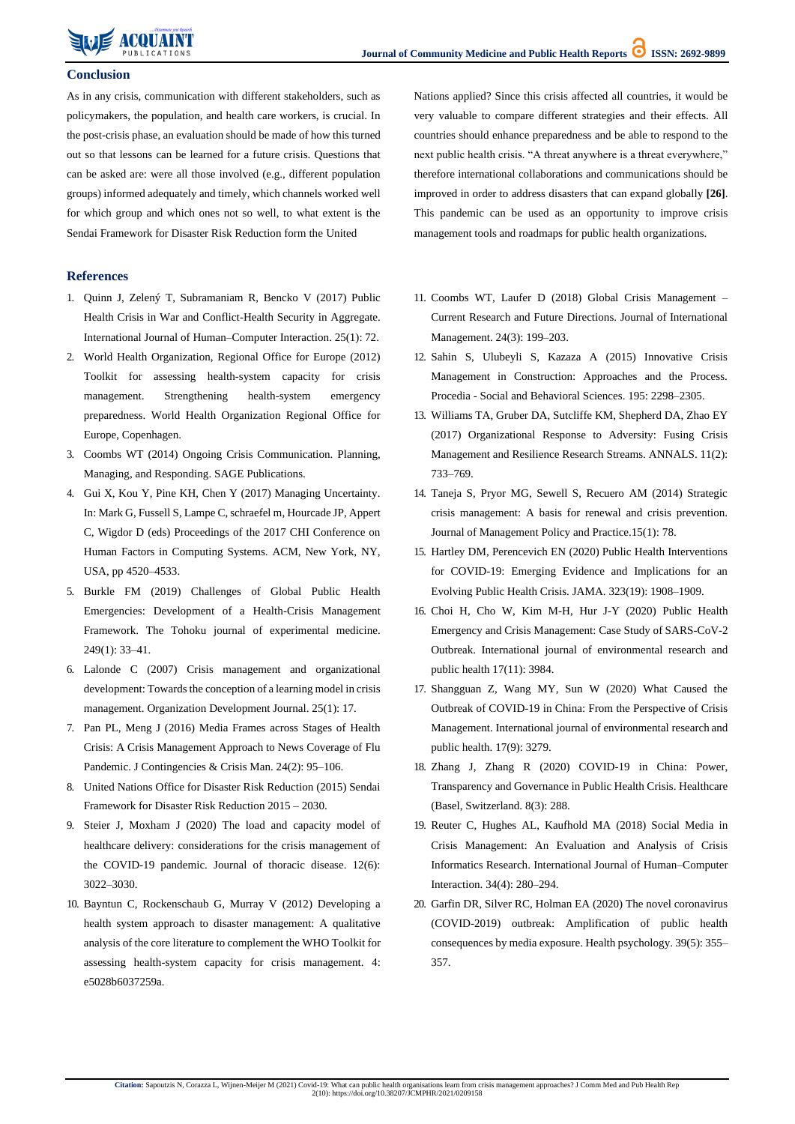### **Conclusion**

As in any crisis, communication with different stakeholders, such as policymakers, the population, and health care workers, is crucial. In the post-crisis phase, an evaluation should be made of how this turned out so that lessons can be learned for a future crisis. Questions that can be asked are: were all those involved (e.g., different population groups) informed adequately and timely, which channels worked well for which group and which ones not so well, to what extent is the Sendai Framework for Disaster Risk Reduction form the United

Nations applied? Since this crisis affected all countries, it would be very valuable to compare different strategies and their effects. All countries should enhance preparedness and be able to respond to the next public health crisis. "A threat anywhere is a threat everywhere," therefore international collaborations and communications should be improved in order to address disasters that can expand globally **[26]**. This pandemic can be used as an opportunity to improve crisis management tools and roadmaps for public health organizations.

### **References**

- 1. [Quinn J, Zelený T, Subramaniam R, Bencko V \(2017\) Public](https://pubmed.ncbi.nlm.nih.gov/28399359/) [Health Crisis in War and Conflict-Health Security in Aggregate.](https://pubmed.ncbi.nlm.nih.gov/28399359/) [International Journal of Human–Computer Interaction. 25\(1\):](https://pubmed.ncbi.nlm.nih.gov/28399359/) 72.
- 2. [World Health Organization, Regional Office for Europe \(2012\)](https://www.euro.who.int/__data/assets/pdf_file/0010/157888/e96188.pdf) [Toolkit for assessing health-system capacity for crisis](https://www.euro.who.int/__data/assets/pdf_file/0010/157888/e96188.pdf) [management. Strengthening health-system emergency](https://www.euro.who.int/__data/assets/pdf_file/0010/157888/e96188.pdf) [preparedness. World Health Organization Regional Office for](https://www.euro.who.int/__data/assets/pdf_file/0010/157888/e96188.pdf) Europe, [Copenhagen.](https://www.euro.who.int/__data/assets/pdf_file/0010/157888/e96188.pdf)
- 3. [Coombs WT \(2014\) Ongoing Crisis Communication. Planning,](https://us.sagepub.com/en-us/nam/ongoing-crisis-communication/book245663) [Managing, and Responding. SAGE](https://us.sagepub.com/en-us/nam/ongoing-crisis-communication/book245663) Publications.
- 4. Gui X, Kou Y, Pine KH, Chen Y (2017) Managing Uncertainty. In: Mark G, Fussell S, Lampe C, schraefel m, Hourcade JP, Appert C, Wigdor D (eds) Proceedings of the 2017 CHI Conference on Human Factors in Computing Systems. ACM, New York, NY, USA, pp 4520–4533.
- 5. [Burkle FM \(2019\) Challenges of Global Public Health](https://pubmed.ncbi.nlm.nih.gov/31548492/) [Emergencies: Development of a Health-Crisis Management](https://pubmed.ncbi.nlm.nih.gov/31548492/) [Framework. The Tohoku journal of experimental medicine.](https://pubmed.ncbi.nlm.nih.gov/31548492/) [249\(1\):](https://pubmed.ncbi.nlm.nih.gov/31548492/) 33–41.
- 6. [Lalonde C \(2007\) Crisis management and organizational](https://www.researchgate.net/publication/253281293_Crisis_Management_and_Organizational_Development_Towards_the_Conception_of_a_Learning_Model_in_Crisis_Management) [development:](https://www.researchgate.net/publication/253281293_Crisis_Management_and_Organizational_Development_Towards_the_Conception_of_a_Learning_Model_in_Crisis_Management) Toward[s](https://www.researchgate.net/publication/253281293_Crisis_Management_and_Organizational_Development_Towards_the_Conception_of_a_Learning_Model_in_Crisis_Management) the conception of a learning model in crisis [management. Organization Development Journal. 25\(1\):](https://www.researchgate.net/publication/253281293_Crisis_Management_and_Organizational_Development_Towards_the_Conception_of_a_Learning_Model_in_Crisis_Management) 17.
- 7. [Pan PL, Meng J \(2016\) Media Frames across Stages of Health](https://onlinelibrary.wiley.com/doi/abs/10.1111/1468-5973.12105) [Crisis: A Crisis Management Approach to News Coverage of Flu](https://onlinelibrary.wiley.com/doi/abs/10.1111/1468-5973.12105) [Pandemic. J Contingencies & Crisis Man. 24\(2\):](https://onlinelibrary.wiley.com/doi/abs/10.1111/1468-5973.12105) 95–106.
- 8. [United Nations Office for Disaster Risk Reduction \(2015\) Sendai](https://www.undrr.org/publication/sendai-framework-disaster-risk-reduction-2015-2030) [Framework for Disaster Risk Reduction 2015 –](https://www.undrr.org/publication/sendai-framework-disaster-risk-reduction-2015-2030) 2030.
- 9. [Steier J, Moxham J \(2020\) The load and capacity model of](https://pubmed.ncbi.nlm.nih.gov/32642224/) [healthcare delivery: considerations for the crisis management of](https://pubmed.ncbi.nlm.nih.gov/32642224/)
- 11. [Coombs WT, Laufer D \(2018\) Global Crisis Management –](https://www.sciencedirect.com/science/article/abs/pii/S1075425317304763) [Current Research and Future Directions. Journal of International](https://www.sciencedirect.com/science/article/abs/pii/S1075425317304763) [Management. 24\(3\):](https://www.sciencedirect.com/science/article/abs/pii/S1075425317304763) 199–203.
- 12. [Sahin S, Ulubeyli S, Kazaza A \(2015\) Innovative Crisis](https://www.sciencedirect.com/science/article/pii/S1877042815036605) [Management in Construction: Approaches and the Process.](https://www.sciencedirect.com/science/article/pii/S1877042815036605) Procedia - [Social and Behavioral Sciences. 195:](https://www.sciencedirect.com/science/article/pii/S1877042815036605) 2298–2305.
- 13. [Williams TA, Gruber DA, Sutcliffe KM, Shepherd DA, Zhao EY](https://journals.aom.org/doi/10.5465/annals.2015.0134) [\(2017\) Organizational Response to Adversity: Fusing Crisis](https://journals.aom.org/doi/10.5465/annals.2015.0134) [Management and Resilience Research Streams. ANNALS.](https://journals.aom.org/doi/10.5465/annals.2015.0134) 11(2)[:](https://journals.aom.org/doi/10.5465/annals.2015.0134) [733–769.](https://journals.aom.org/doi/10.5465/annals.2015.0134)
- 14. [Taneja S, Pryor MG, Sewell S, Recuero AM \(2014\) Strategic](http://m.www.na-businesspress.com/JMPP/TanejaS_Web15_1_.pdf) [crisis management: A basis for renewal and crisis prevention.](http://m.www.na-businesspress.com/JMPP/TanejaS_Web15_1_.pdf) [Journal of Management Policy and Practice.15\(1\):](http://m.www.na-businesspress.com/JMPP/TanejaS_Web15_1_.pdf) 78.
- 15. [Hartley DM, Perencevich EN \(2020\) Public Health Interventions](https://pubmed.ncbi.nlm.nih.gov/32275299/) [for COVID-19: Emerging Evidence and Implications for an](https://pubmed.ncbi.nlm.nih.gov/32275299/) [Evolving Public Health Crisis. JAMA. 323\(19\):](https://pubmed.ncbi.nlm.nih.gov/32275299/) 1908–1909.
- 16. [Choi H, Cho W, Kim M-H, Hur J-Y \(2020\) Public Health](https://www.ncbi.nlm.nih.gov/pmc/articles/PMC7313043/) [Emergency and Crisis Management: Case Study of](https://www.ncbi.nlm.nih.gov/pmc/articles/PMC7313043/) SARS-CoV-[2](https://www.ncbi.nlm.nih.gov/pmc/articles/PMC7313043/) [Outbreak. International journal of environmental research and](https://www.ncbi.nlm.nih.gov/pmc/articles/PMC7313043/) [public health 17\(11\):](https://www.ncbi.nlm.nih.gov/pmc/articles/PMC7313043/) 3984.
- 17. [Shangguan Z, Wang MY, Sun W \(2020\) What Caused the](https://www.ncbi.nlm.nih.gov/pmc/articles/PMC7246516/) [Outbreak of COVID-19 in China: From the Perspective of Crisis](https://www.ncbi.nlm.nih.gov/pmc/articles/PMC7246516/) [Management. International journal of environmental research](https://www.ncbi.nlm.nih.gov/pmc/articles/PMC7246516/) an[d](https://www.ncbi.nlm.nih.gov/pmc/articles/PMC7246516/) [public health. 17\(9\):](https://www.ncbi.nlm.nih.gov/pmc/articles/PMC7246516/) 3279.
- 18. [Zhang J, Zhang R \(2020\) COVID-19 in China: Power,](https://www.ncbi.nlm.nih.gov/pmc/articles/PMC7551406/) [Transparency](https://www.ncbi.nlm.nih.gov/pmc/articles/PMC7551406/) and Governance in Public Health Crisis. Healthcar[e](https://www.ncbi.nlm.nih.gov/pmc/articles/PMC7551406/) [\(Basel, Switzerland. 8\(3\):](https://www.ncbi.nlm.nih.gov/pmc/articles/PMC7551406/) 288.
- 19. [Reuter C, Hughes AL, Kaufhold MA \(2018\) Social Media in](https://www.tandfonline.com/doi/citedby/10.1080/10447318.2018.1427832?scroll=top&needAccess=true) [Crisis Management: An Evaluation and Analysis of Crisis](https://www.tandfonline.com/doi/citedby/10.1080/10447318.2018.1427832?scroll=top&needAccess=true)
- [the COVID-19 pandemic. Journal of thoracic disease. 12\(6\):](https://pubmed.ncbi.nlm.nih.gov/32642224/) [3022–3030.](https://pubmed.ncbi.nlm.nih.gov/32642224/)
- 10. [Bayntun C, Rockenschaub G, Murray V \(2012\) Developing a](https://pubmed.ncbi.nlm.nih.gov/23066520/) [health system approach to disaster management: A qualitative](https://pubmed.ncbi.nlm.nih.gov/23066520/) analysis of the core literature to [complement](https://pubmed.ncbi.nlm.nih.gov/23066520/) the WHO Toolkit fo[r](https://pubmed.ncbi.nlm.nih.gov/23066520/) [assessing health-system capacity for crisis management. 4:](https://pubmed.ncbi.nlm.nih.gov/23066520/) [e5028b6037259a.](https://pubmed.ncbi.nlm.nih.gov/23066520/)
- [Informatics Research. International Journal of Human–Computer](https://www.tandfonline.com/doi/citedby/10.1080/10447318.2018.1427832?scroll=top&needAccess=true) [Interaction. 34\(4\):](https://www.tandfonline.com/doi/citedby/10.1080/10447318.2018.1427832?scroll=top&needAccess=true) 280–294.
- 20. [Garfin DR, Silver RC, Holman EA \(2020\) The novel coronavirus](https://pubmed.ncbi.nlm.nih.gov/32202824/) [\(COVID-2019\) outbreak: Amplification of public health](https://pubmed.ncbi.nlm.nih.gov/32202824/) [consequences](https://pubmed.ncbi.nlm.nih.gov/32202824/) by media exposure. Health psychology. 39(5): 355[–](https://pubmed.ncbi.nlm.nih.gov/32202824/) [357.](https://pubmed.ncbi.nlm.nih.gov/32202824/)